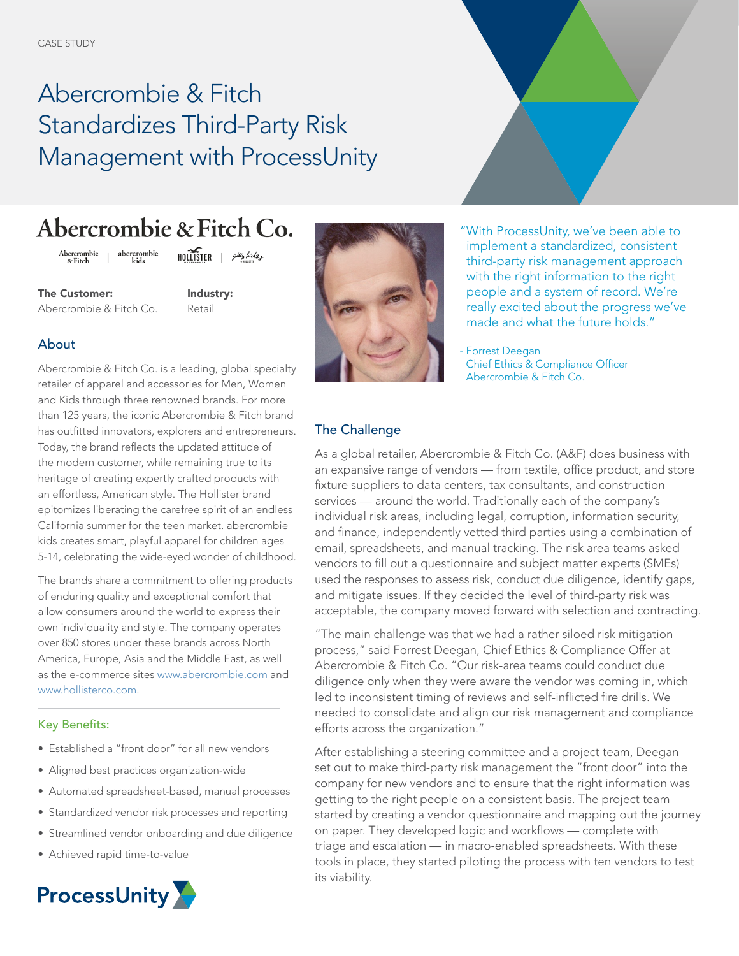# Abercrombie & Fitch Standardizes Third-Party Risk Management with ProcessUnity

## Abercrombie & Fitch Co.

abercrombie |  $HOLUISTER$  |  $pi\omega$ Abercrombie<br>& Fitch

The Customer: Abercrombie & Fitch Co. Industry: Retail

#### About

Abercrombie & Fitch Co. is a leading, global specialty retailer of apparel and accessories for Men, Women and Kids through three renowned brands. For more than 125 years, the iconic Abercrombie & Fitch brand has outfitted innovators, explorers and entrepreneurs. Today, the brand reflects the updated attitude of the modern customer, while remaining true to its heritage of creating expertly crafted products with an effortless, American style. The Hollister brand epitomizes liberating the carefree spirit of an endless California summer for the teen market. abercrombie kids creates smart, playful apparel for children ages 5-14, celebrating the wide-eyed wonder of childhood.

The brands share a commitment to offering products of enduring quality and exceptional comfort that allow consumers around the world to express their own individuality and style. The company operates over 850 stores under these brands across North America, Europe, Asia and the Middle East, as well as the e-commerce sites [www.abercrombie.com](https://www.abercrombie.com/shop/us) and [www.hollisterco.com](https://www.hollisterco.com/shop/us).

#### Key Benefits:

- Established a "front door" for all new vendors
- Aligned best practices organization-wide
- Automated spreadsheet-based, manual processes
- Standardized vendor risk processes and reporting
- Streamlined vendor onboarding and due diligence
- Achieved rapid time-to-value





"With ProcessUnity, we've been able to implement a standardized, consistent third-party risk management approach with the right information to the right people and a system of record. We're really excited about the progress we've made and what the future holds."

- Forrest Deegan Chief Ethics & Compliance Officer Abercrombie & Fitch Co.

### The Challenge

As a global retailer, Abercrombie & Fitch Co. (A&F) does business with an expansive range of vendors — from textile, office product, and store fixture suppliers to data centers, tax consultants, and construction services — around the world. Traditionally each of the company's individual risk areas, including legal, corruption, information security, and finance, independently vetted third parties using a combination of email, spreadsheets, and manual tracking. The risk area teams asked vendors to fill out a questionnaire and subject matter experts (SMEs) used the responses to assess risk, conduct due diligence, identify gaps, and mitigate issues. If they decided the level of third-party risk was acceptable, the company moved forward with selection and contracting.

"The main challenge was that we had a rather siloed risk mitigation process," said Forrest Deegan, Chief Ethics & Compliance Offer at Abercrombie & Fitch Co. "Our risk-area teams could conduct due diligence only when they were aware the vendor was coming in, which led to inconsistent timing of reviews and self-inflicted fire drills. We needed to consolidate and align our risk management and compliance efforts across the organization."

After establishing a steering committee and a project team, Deegan set out to make third-party risk management the "front door" into the company for new vendors and to ensure that the right information was getting to the right people on a consistent basis. The project team started by creating a vendor questionnaire and mapping out the journey on paper. They developed logic and workflows — complete with triage and escalation — in macro-enabled spreadsheets. With these tools in place, they started piloting the process with ten vendors to test its viability.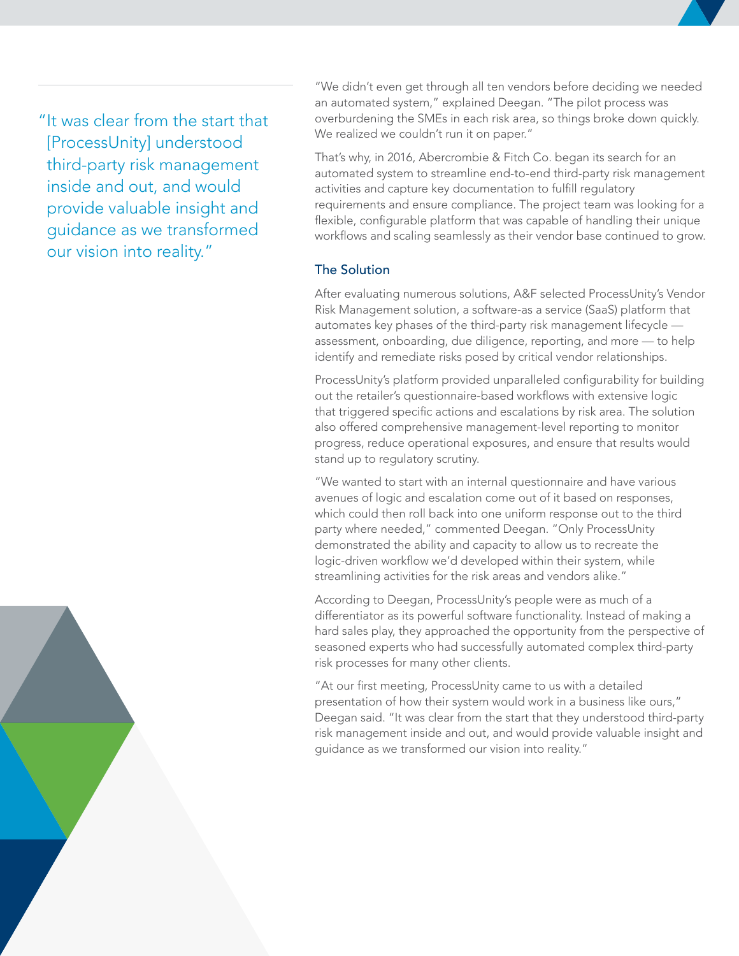"It was clear from the start that [ProcessUnity] understood third-party risk management inside and out, and would provide valuable insight and guidance as we transformed our vision into reality."

"We didn't even get through all ten vendors before deciding we needed an automated system," explained Deegan. "The pilot process was overburdening the SMEs in each risk area, so things broke down quickly. We realized we couldn't run it on paper."

That's why, in 2016, Abercrombie & Fitch Co. began its search for an automated system to streamline end-to-end third-party risk management activities and capture key documentation to fulfill regulatory requirements and ensure compliance. The project team was looking for a flexible, configurable platform that was capable of handling their unique workflows and scaling seamlessly as their vendor base continued to grow.

#### The Solution

After evaluating numerous solutions, A&F selected ProcessUnity's Vendor Risk Management solution, a software-as a service (SaaS) platform that automates key phases of the third-party risk management lifecycle assessment, onboarding, due diligence, reporting, and more — to help identify and remediate risks posed by critical vendor relationships.

ProcessUnity's platform provided unparalleled configurability for building out the retailer's questionnaire-based workflows with extensive logic that triggered specific actions and escalations by risk area. The solution also offered comprehensive management-level reporting to monitor progress, reduce operational exposures, and ensure that results would stand up to regulatory scrutiny.

"We wanted to start with an internal questionnaire and have various avenues of logic and escalation come out of it based on responses, which could then roll back into one uniform response out to the third party where needed," commented Deegan. "Only ProcessUnity demonstrated the ability and capacity to allow us to recreate the logic-driven workflow we'd developed within their system, while streamlining activities for the risk areas and vendors alike."

According to Deegan, ProcessUnity's people were as much of a differentiator as its powerful software functionality. Instead of making a hard sales play, they approached the opportunity from the perspective of seasoned experts who had successfully automated complex third-party risk processes for many other clients.

"At our first meeting, ProcessUnity came to us with a detailed presentation of how their system would work in a business like ours," Deegan said. "It was clear from the start that they understood third-party risk management inside and out, and would provide valuable insight and guidance as we transformed our vision into reality."